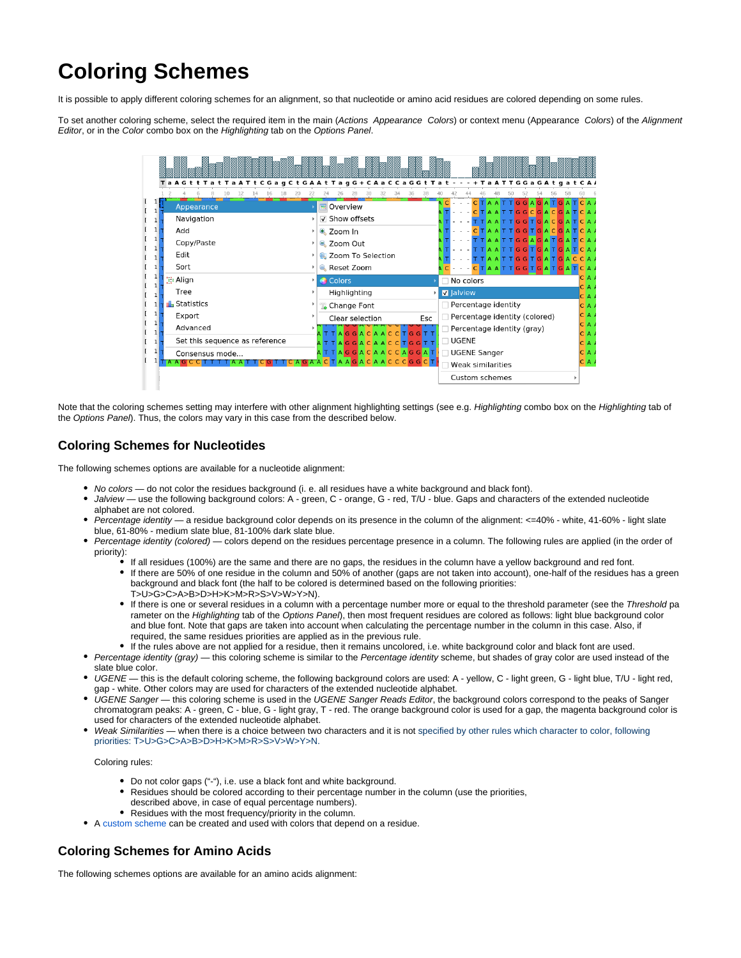## **Coloring Schemes**

It is possible to apply different coloring schemes for an alignment, so that nucleotide or amino acid residues are colored depending on some rules.

To set another coloring scheme, select the required item in the main (Actions Appearance Colors) or context menu (Appearance Colors) of the Alignment Editor, or in the Color combo box on the Highlighting tab on the Options Panel.

| Ta A G t t T a t T a A T t C G a g C t G A A t T a g G + C A a C C a G G t T a t - - - + T a A T T G G a G A t g a t C A A | 18<br>22<br>20. | 24<br>28<br>26                                                |  |                  |                               |  |                                             |  |  |
|----------------------------------------------------------------------------------------------------------------------------|-----------------|---------------------------------------------------------------|--|------------------|-------------------------------|--|---------------------------------------------|--|--|
| Appearance                                                                                                                 |                 | Overview                                                      |  |                  |                               |  | TAATTGGAGATGATCA<br><b>AATTGGCGACGATCA/</b> |  |  |
| Navigation                                                                                                                 |                 | √ Show offsets                                                |  |                  |                               |  | ATTGGTGACGATCA/                             |  |  |
| Add                                                                                                                        |                 | $\triangle$ Zoom In                                           |  |                  |                               |  | <b>ATTGGTGACGATCAA</b>                      |  |  |
| Copy/Paste                                                                                                                 |                 | <b>Q</b> Zoom Out                                             |  |                  |                               |  | <b>ATTGGAGATGATCAA</b>                      |  |  |
| Edit                                                                                                                       |                 | <b>R</b> Zoom To Selection                                    |  |                  |                               |  | TTGGTGATGATCAA<br>ATTGGTGATGACCA            |  |  |
| Sort                                                                                                                       |                 | Reset Zoom                                                    |  |                  |                               |  | TAATTGGTGATGATCA                            |  |  |
| <mark>∷</mark> Align                                                                                                       |                 | Colors                                                        |  | No colors        |                               |  |                                             |  |  |
| Tree                                                                                                                       |                 | Highlighting                                                  |  | <b>V</b> Jalview |                               |  |                                             |  |  |
| <b>IL</b> Statistics                                                                                                       |                 | <b>Change Font</b>                                            |  |                  | Percentage identity           |  |                                             |  |  |
| Export                                                                                                                     |                 | Clear selection<br>Esc                                        |  |                  | Percentage identity (colored) |  |                                             |  |  |
| Advanced                                                                                                                   |                 | TAGGACAACCTGGTT                                               |  |                  | Percentage identity (gray)    |  |                                             |  |  |
| Set this sequence as reference                                                                                             |                 | A T T A <mark>G G</mark> A C A A C C <mark>T G G</mark> T T   |  | <b>UGENE</b>     |                               |  |                                             |  |  |
| Consensus mode                                                                                                             |                 | A T T A <mark>G G</mark> A <mark>C A A C C A G G</mark> A T I |  |                  | □ UGENE Sanger                |  |                                             |  |  |

Note that the coloring schemes setting may interfere with other alignment highlighting settings (see e.g. Highlighting combo box on the Highlighting tab of the Options Panel). Thus, the colors may vary in this case from the described below.

## **Coloring Schemes for Nucleotides**

The following schemes options are available for a nucleotide alignment:

- No colors do not color the residues background (i. e. all residues have a white background and black font).
- Jalview use the following background colors: A green, C orange, G red, T/U blue. Gaps and characters of the extended nucleotide alphabet are not colored.
- Percentage identity a residue background color depends on its presence in the column of the alignment: <=40% white, 41-60% light slate blue, 61-80% - medium slate blue, 81-100% dark slate blue.
- Percentage identity (colored) colors depend on the residues percentage presence in a column. The following rules are applied (in the order of priority):
	- If all residues (100%) are the same and there are no gaps, the residues in the column have a yellow background and red font.
	- If there are 50% of one residue in the column and 50% of another (gaps are not taken into account), one-half of the residues has a green background and black font (the half to be colored is determined based on the following priorities: T>U>G>C>A>B>D>H>K>M>R>S>V>W>Y>N).
	- If there is one or several residues in a column with a percentage number more or equal to the threshold parameter (see the Threshold pa rameter on the Highlighting tab of the Options Panel), then most frequent residues are colored as follows: light blue background color and blue font. Note that gaps are taken into account when calculating the percentage number in the column in this case. Also, if required, the same residues priorities are applied as in the previous rule.
	- If the rules above are not applied for a residue, then it remains uncolored, i.e. white background color and black font are used.
- Percentage identity (gray) this coloring scheme is similar to the Percentage identity scheme, but shades of gray color are used instead of the slate blue color.
- UGENE this is the default coloring scheme, the following background colors are used: A yellow, C light green, G light blue, T/U light red, gap - white. Other colors may are used for characters of the extended nucleotide alphabet.
- UGENE Sanger this coloring scheme is used in the UGENE Sanger Reads Editor, the background colors correspond to the peaks of Sanger chromatogram peaks: A - green, C - blue, G - light gray, T - red. The orange background color is used for a gap, the magenta background color is used for characters of the extended nucleotide alphabet.
- Weak Similarities when there is a choice between two characters and it is not specified by other rules which character to color, following priorities: T>U>G>C>A>B>D>H>K>M>R>S>V>W>Y>N.

Coloring rules:

- Do not color gaps ("-"), i.e. use a black font and white background.
- Residues should be colored according to their percentage number in the column (use the priorities,
- described above, in case of equal percentage numbers).
- Residues with the most frequency/priority in the column.
- A [custom scheme](https://doc.ugene.net/wiki/display/UUOUM32/Creating+Custom+Color+Scheme) can be created and used with colors that depend on a residue.

## **Coloring Schemes for Amino Acids**

The following schemes options are available for an amino acids alignment: